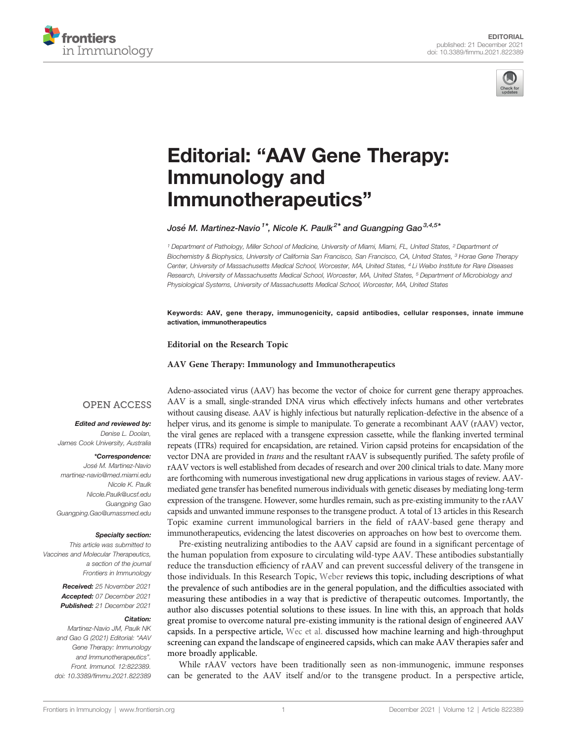



# Editorial: "[AAV Gene Therapy:](https://www.frontiersin.org/articles/10.3389/fimmu.2021.822389/full) [Immunology and](https://www.frontiersin.org/articles/10.3389/fimmu.2021.822389/full) [Immunotherapeutics](https://www.frontiersin.org/articles/10.3389/fimmu.2021.822389/full)"

José M. Martinez-Navio<sup>1\*</sup>, Nicole K. Paulk<sup>2\*</sup> and Guangping Gao<sup>3,4,5\*</sup>

<sup>1</sup> Department of Pathology, Miller School of Medicine, University of Miami, Miami, FL, United States, <sup>2</sup> Department of Biochemistry & Biophysics, University of California San Francisco, San Francisco, CA, United States, <sup>3</sup> Horae Gene Therapy Center, University of Massachusetts Medical School, Worcester, MA, United States, <sup>4</sup> Li Weibo Institute for Rare Diseases Research, University of Massachusetts Medical School, Worcester, MA, United States, <sup>5</sup> Department of Microbiology and Physiological Systems, University of Massachusetts Medical School, Worcester, MA, United States

Keywords: AAV, gene therapy, immunogenicity, capsid antibodies, cellular responses, innate immune activation, immunotherapeutics

#### Editorial on the Research Topic

#### [AAV Gene Therapy: Immunology and Immunotherapeutics](https://www.frontiersin.org/research-topics/15549/aav-gene-therapy-immunology-and-immunotherapeutics)

### **OPEN ACCESS**

#### Edited and reviewed by:

Denise L. Doolan, James Cook University, Australia

#### \*Correspondence:

Jose´ M. Martinez-Navio [martinez-navio@med.miami.edu](mailto:martinez-navio@med.miami.edu) Nicole K. Paulk [Nicole.Paulk@ucsf.edu](mailto:Nicole.Paulk@ucsf.edu) Guangping Gao [Guangping.Gao@umassmed.edu](mailto:Guangping.Gao@umassmed.edu)

#### Specialty section:

This article was submitted to Vaccines and Molecular Therapeutics, a section of the journal Frontiers in Immunology

> Received: 25 November 2021 Accepted: 07 December 2021 Published: 21 December 2021

#### Citation:

Martinez-Navio JM, Paulk NK and Gao G (2021) Editorial: "AAV Gene Therapy: Immunology and Immunotherapeutics". Front. Immunol. 12:822389. [doi: 10.3389/fimmu.2021.822389](https://doi.org/10.3389/fimmu.2021.822389) Adeno-associated virus (AAV) has become the vector of choice for current gene therapy approaches. AAV is a small, single-stranded DNA virus which effectively infects humans and other vertebrates without causing disease. AAV is highly infectious but naturally replication-defective in the absence of a helper virus, and its genome is simple to manipulate. To generate a recombinant AAV (rAAV) vector, the viral genes are replaced with a transgene expression cassette, while the flanking inverted terminal repeats (ITRs) required for encapsidation, are retained. Virion capsid proteins for encapsidation of the vector DNA are provided in trans and the resultant rAAV is subsequently purified. The safety profile of rAAV vectors is well established from decades of research and over 200 clinical trials to date. Many more are forthcoming with numerous investigational new drug applications in various stages of review. AAVmediated gene transfer has benefited numerous individuals with genetic diseases by mediating long-term expression of the transgene. However, some hurdles remain, such as pre-existing immunity to the rAAV capsids and unwanted immune responses to the transgene product. A total of 13 articles in this Research Topic examine current immunological barriers in the field of rAAV-based gene therapy and immunotherapeutics, evidencing the latest discoveries on approaches on how best to overcome them.

Pre-existing neutralizing antibodies to the AAV capsid are found in a significant percentage of the human population from exposure to circulating wild-type AAV. These antibodies substantially reduce the transduction efficiency of rAAV and can prevent successful delivery of the transgene in those individuals. In this Research Topic, [Weber](https://doi.org/10.3389/fimmu.2021.658399) reviews this topic, including descriptions of what the prevalence of such antibodies are in the general population, and the difficulties associated with measuring these antibodies in a way that is predictive of therapeutic outcomes. Importantly, the author also discusses potential solutions to these issues. In line with this, an approach that holds great promise to overcome natural pre-existing immunity is the rational design of engineered AAV capsids. In a perspective article, [Wec et al.](https://doi.org/10.3389/fimmu.2021.674021) discussed how machine learning and high-throughput screening can expand the landscape of engineered capsids, which can make AAV therapies safer and more broadly applicable.

While rAAV vectors have been traditionally seen as non-immunogenic, immune responses can be generated to the AAV itself and/or to the transgene product. In a perspective article,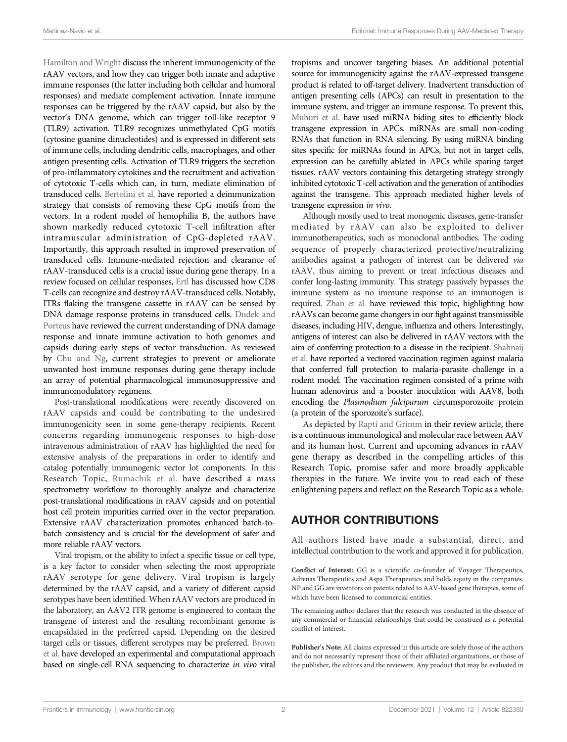[Hamilton and Wright](https://doi.org/10.3389/fimmu.2021.675897) discuss the inherent immunogenicity of the rAAV vectors, and how they can trigger both innate and adaptive immune responses (the latter including both cellular and humoral responses) and mediate complement activation. Innate immune responses can be triggered by the rAAV capsid, but also by the vector's DNA genome, which can trigger toll-like receptor 9 (TLR9) activation. TLR9 recognizes unmethylated CpG motifs (cytosine guanine dinucleotides) and is expressed in different sets of immune cells, including dendritic cells, macrophages, and other antigen presenting cells. Activation of TLR9 triggers the secretion of pro-inflammatory cytokines and the recruitment and activation of cytotoxic T-cells which can, in turn, mediate elimination of transduced cells. [Bertolini et al.](https://doi.org/10.3389/fimmu.2021.672449) have reported a deimmunization strategy that consists of removing these CpG motifs from the vectors. In a rodent model of hemophilia B, the authors have shown markedly reduced cytotoxic T-cell infiltration after intramuscular administration of CpG-depleted rAAV. Importantly, this approach resulted in improved preservation of transduced cells. Immune-mediated rejection and clearance of rAAV-transduced cells is a crucial issue during gene therapy. In a review focused on cellular responses, [Ertl](https://doi.org/10.3389/fimmu.2021.666666) has discussed how CD8 T-cells can recognize and destroy rAAV-transduced cells. Notably, ITRs flaking the transgene cassette in rAAV can be sensed by DNA damage response proteins in transduced cells. [Dudek and](https://doi.org/10.3389/fimmu.2021.660302) [Porteus](https://doi.org/10.3389/fimmu.2021.660302) have reviewed the current understanding of DNA damage response and innate immune activation to both genomes and capsids during early steps of vector transduction. As reviewed by [Chu and Ng,](https://doi.org/10.3389/fimmu.2021.658038) current strategies to prevent or ameliorate unwanted host immune responses during gene therapy include an array of potential pharmacological immunosuppressive and immunomodulatory regimens.

Post-translational modifications were recently discovered on rAAV capsids and could be contributing to the undesired immunogenicity seen in some gene-therapy recipients. Recent concerns regarding immunogenic responses to high-dose intravenous administration of rAAV has highlighted the need for extensive analysis of the preparations in order to identify and catalog potentially immunogenic vector lot components. In this Research Topic, [Rumachik et al.](https://doi.org/10.3389/fimmu.2021.657795) have described a mass spectrometry workflow to thoroughly analyze and characterize post-translational modifications in rAAV capsids and on potential host cell protein impurities carried over in the vector preparation. Extensive rAAV characterization promotes enhanced batch-tobatch consistency and is crucial for the development of safer and more reliable rAAV vectors.

Viral tropism, or the ability to infect a specific tissue or cell type, is a key factor to consider when selecting the most appropriate rAAV serotype for gene delivery. Viral tropism is largely determined by the rAAV capsid, and a variety of different capsid serotypes have been identified. When rAAV vectors are produced in the laboratory, an AAV2 ITR genome is engineered to contain the transgene of interest and the resulting recombinant genome is encapsidated in the preferred capsid. Depending on the desired target cells or tissues, different serotypes may be preferred. [Brown](https://doi.org/10.3389/fimmu.2021.730825) [et al.](https://doi.org/10.3389/fimmu.2021.730825) have developed an experimental and computational approach based on single-cell RNA sequencing to characterize in vivo viral

tropisms and uncover targeting biases. An additional potential source for immunogenicity against the rAAV-expressed transgene product is related to off-target delivery. Inadvertent transduction of antigen presenting cells (APCs) can result in presentation to the immune system, and trigger an immune response. To prevent this, [Muhuri et al.](https://doi.org/10.3389/fimmu.2021.674242) have used miRNA biding sites to efficiently block transgene expression in APCs. miRNAs are small non-coding RNAs that function in RNA silencing. By using miRNA binding sites specific for miRNAs found in APCs, but not in target cells, expression can be carefully ablated in APCs while sparing target tissues. rAAV vectors containing this detargeting strategy strongly inhibited cytotoxic T-cell activation and the generation of antibodies against the transgene. This approach mediated higher levels of transgene expression in vivo.

Although mostly used to treat monogenic diseases, gene-transfer mediated by rAAV can also be exploited to deliver immunotherapeutics, such as monoclonal antibodies. The coding sequence of properly characterized protective/neutralizing antibodies against a pathogen of interest can be delivered via rAAV, thus aiming to prevent or treat infectious diseases and confer long-lasting immunity. This strategy passively bypasses the immune system as no immune response to an immunogen is required. [Zhan et al.](https://doi.org/10.3389/fimmu.2021.673699) have reviewed this topic, highlighting how rAAVs can become game changers in our fight against transmissible diseases, including HIV, dengue, influenza and others. Interestingly, antigens of interest can also be delivered in rAAV vectors with the aim of conferring protection to a disease in the recipient. [Shahnaij](https://doi.org/10.3389/fimmu.2021.612910) [et al.](https://doi.org/10.3389/fimmu.2021.612910) have reported a vectored vaccination regimen against malaria that conferred full protection to malaria-parasite challenge in a rodent model. The vaccination regimen consisted of a prime with human adenovirus and a booster inoculation with AAV8, both encoding the Plasmodium falciparum circumsporozoite protein (a protein of the sporozoite's surface).

As depicted by [Rapti and Grimm](https://doi.org/10.3389/fimmu.2021.753467) in their review article, there is a continuous immunological and molecular race between AAV and its human host. Current and upcoming advances in rAAV gene therapy as described in the compelling articles of this Research Topic, promise safer and more broadly applicable therapies in the future. We invite you to read each of these enlightening papers and reflect on the Research Topic as a whole.

## AUTHOR CONTRIBUTIONS

All authors listed have made a substantial, direct, and intellectual contribution to the work and approved it for publication.

Conflict of Interest: GG is a scientific co-founder of Voyager Therapeutics, Adrenas Therapeutics and Aspa Therapeutics and holds equity in the companies. NP and GG are inventors on patents related to AAV-based gene therapies, some of which have been licensed to commercial entities.

The remaining author declares that the research was conducted in the absence of any commercial or financial relationships that could be construed as a potential conflict of interest.

Publisher's Note: All claims expressed in this article are solely those of the authors and do not necessarily represent those of their affiliated organizations, or those of the publisher, the editors and the reviewers. Any product that may be evaluated in